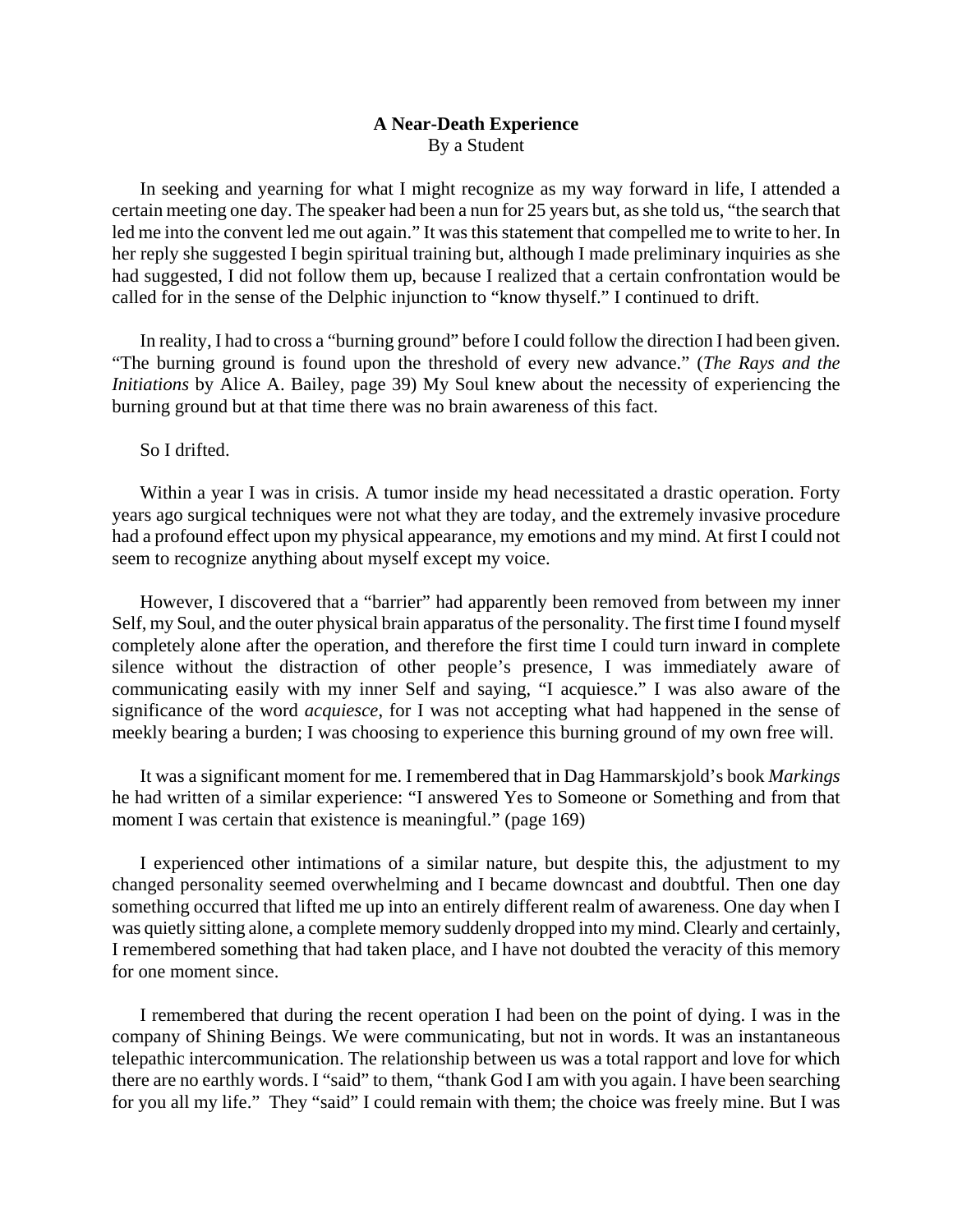## **A Near-Death Experience**  By a Student

 In seeking and yearning for what I might recognize as my way forward in life, I attended a certain meeting one day. The speaker had been a nun for 25 years but, as she told us, "the search that led me into the convent led me out again." It was this statement that compelled me to write to her. In her reply she suggested I begin spiritual training but, although I made preliminary inquiries as she had suggested, I did not follow them up, because I realized that a certain confrontation would be called for in the sense of the Delphic injunction to "know thyself." I continued to drift.

 In reality, I had to cross a "burning ground" before I could follow the direction I had been given. "The burning ground is found upon the threshold of every new advance." (*The Rays and the Initiations* by Alice A. Bailey, page 39) My Soul knew about the necessity of experiencing the burning ground but at that time there was no brain awareness of this fact.

So I drifted.

 Within a year I was in crisis. A tumor inside my head necessitated a drastic operation. Forty years ago surgical techniques were not what they are today, and the extremely invasive procedure had a profound effect upon my physical appearance, my emotions and my mind. At first I could not seem to recognize anything about myself except my voice.

 However, I discovered that a "barrier" had apparently been removed from between my inner Self, my Soul, and the outer physical brain apparatus of the personality. The first time I found myself completely alone after the operation, and therefore the first time I could turn inward in complete silence without the distraction of other people's presence, I was immediately aware of communicating easily with my inner Self and saying, "I acquiesce." I was also aware of the significance of the word *acquiesce*, for I was not accepting what had happened in the sense of meekly bearing a burden; I was choosing to experience this burning ground of my own free will.

 It was a significant moment for me. I remembered that in Dag Hammarskjold's book *Markings* he had written of a similar experience: "I answered Yes to Someone or Something and from that moment I was certain that existence is meaningful." (page 169)

 I experienced other intimations of a similar nature, but despite this, the adjustment to my changed personality seemed overwhelming and I became downcast and doubtful. Then one day something occurred that lifted me up into an entirely different realm of awareness. One day when I was quietly sitting alone, a complete memory suddenly dropped into my mind. Clearly and certainly, I remembered something that had taken place, and I have not doubted the veracity of this memory for one moment since.

 I remembered that during the recent operation I had been on the point of dying. I was in the company of Shining Beings. We were communicating, but not in words. It was an instantaneous telepathic intercommunication. The relationship between us was a total rapport and love for which there are no earthly words. I "said" to them, "thank God I am with you again. I have been searching for you all my life." They "said" I could remain with them; the choice was freely mine. But I was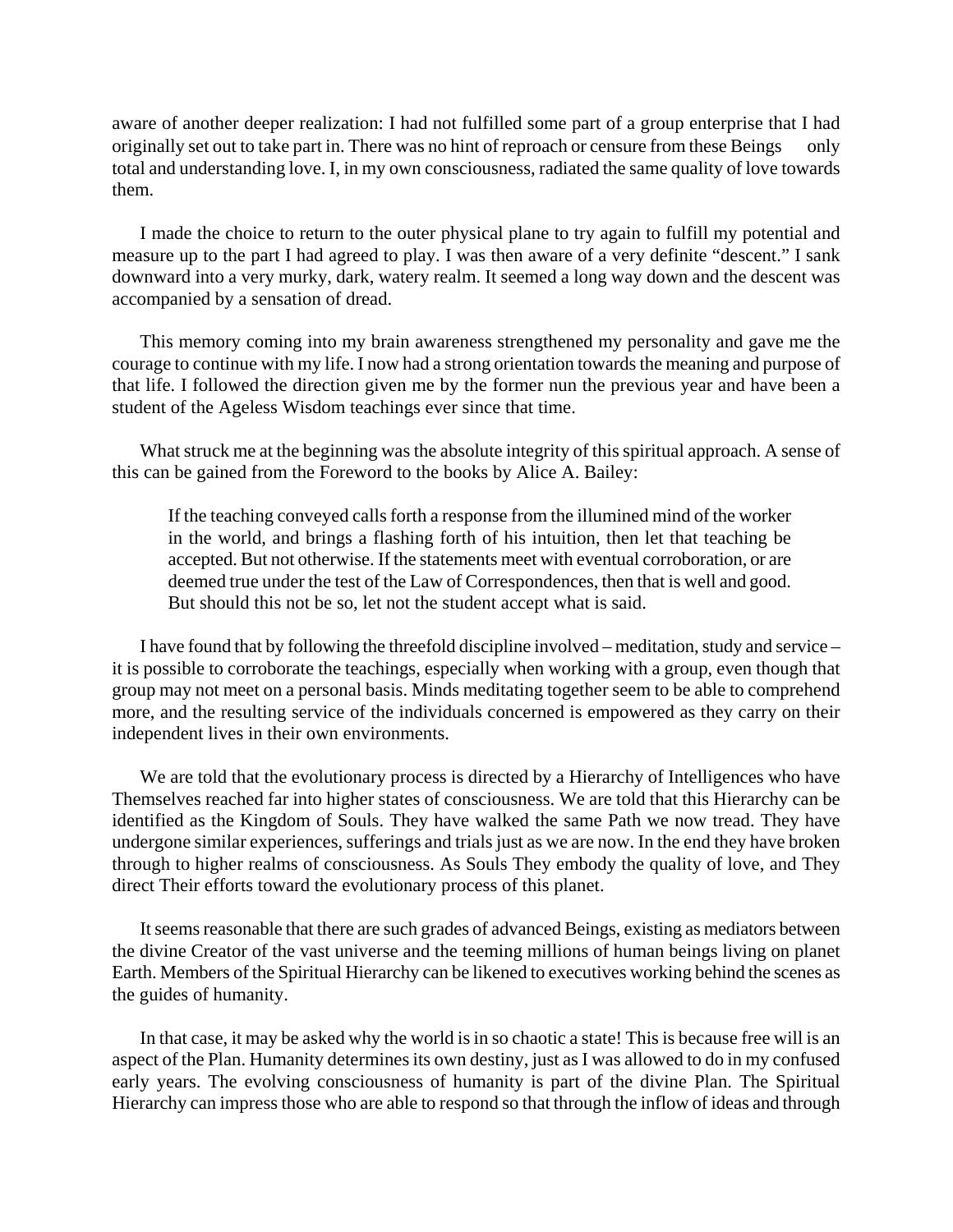aware of another deeper realization: I had not fulfilled some part of a group enterprise that I had originally set out to take part in. There was no hint of reproach or censure from these Beings — only total and understanding love. I, in my own consciousness, radiated the same quality of love towards them.

 I made the choice to return to the outer physical plane to try again to fulfill my potential and measure up to the part I had agreed to play. I was then aware of a very definite "descent." I sank downward into a very murky, dark, watery realm. It seemed a long way down and the descent was accompanied by a sensation of dread.

 This memory coming into my brain awareness strengthened my personality and gave me the courage to continue with my life. I now had a strong orientation towards the meaning and purpose of that life. I followed the direction given me by the former nun the previous year and have been a student of the Ageless Wisdom teachings ever since that time.

 What struck me at the beginning was the absolute integrity of this spiritual approach. A sense of this can be gained from the Foreword to the books by Alice A. Bailey:

If the teaching conveyed calls forth a response from the illumined mind of the worker in the world, and brings a flashing forth of his intuition, then let that teaching be accepted. But not otherwise. If the statements meet with eventual corroboration, or are deemed true under the test of the Law of Correspondences, then that is well and good. But should this not be so, let not the student accept what is said.

 I have found that by following the threefold discipline involved – meditation, study and service – it is possible to corroborate the teachings, especially when working with a group, even though that group may not meet on a personal basis. Minds meditating together seem to be able to comprehend more, and the resulting service of the individuals concerned is empowered as they carry on their independent lives in their own environments.

 We are told that the evolutionary process is directed by a Hierarchy of Intelligences who have Themselves reached far into higher states of consciousness. We are told that this Hierarchy can be identified as the Kingdom of Souls. They have walked the same Path we now tread. They have undergone similar experiences, sufferings and trials just as we are now. In the end they have broken through to higher realms of consciousness. As Souls They embody the quality of love, and They direct Their efforts toward the evolutionary process of this planet.

 It seems reasonable that there are such grades of advanced Beings, existing as mediators between the divine Creator of the vast universe and the teeming millions of human beings living on planet Earth. Members of the Spiritual Hierarchy can be likened to executives working behind the scenes as the guides of humanity.

 In that case, it may be asked why the world is in so chaotic a state! This is because free will is an aspect of the Plan. Humanity determines its own destiny, just as I was allowed to do in my confused early years. The evolving consciousness of humanity is part of the divine Plan. The Spiritual Hierarchy can impress those who are able to respond so that through the inflow of ideas and through